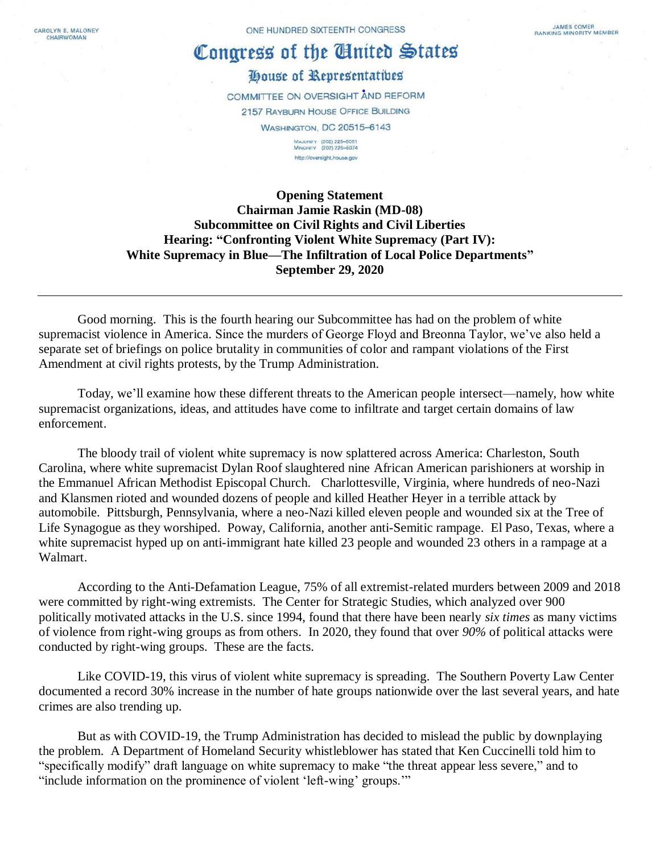CAROLYN B. MALONEY CHAIRWOMAN

## Congress of the United States

House of Representatibes

COMMITTEE ON OVERSIGHT AND REFORM 2157 RAYBURN HOUSE OFFICE BUILDING **WASHINGTON, DC 20515-6143** MAJORITY (202) 225-5051<br>MINORITY (202) 225-5074 http://oversight.house.gov

**Opening Statement Chairman Jamie Raskin (MD-08) Subcommittee on Civil Rights and Civil Liberties Hearing: "Confronting Violent White Supremacy (Part IV): White Supremacy in Blue—The Infiltration of Local Police Departments" September 29, 2020**

Good morning. This is the fourth hearing our Subcommittee has had on the problem of white supremacist violence in America. Since the murders of George Floyd and Breonna Taylor, we've also held a separate set of briefings on police brutality in communities of color and rampant violations of the First Amendment at civil rights protests, by the Trump Administration.

Today, we'll examine how these different threats to the American people intersect—namely, how white supremacist organizations, ideas, and attitudes have come to infiltrate and target certain domains of law enforcement.

The bloody trail of violent white supremacy is now splattered across America: Charleston, South Carolina, where white supremacist Dylan Roof slaughtered nine African American parishioners at worship in the Emmanuel African Methodist Episcopal Church. Charlottesville, Virginia, where hundreds of neo-Nazi and Klansmen rioted and wounded dozens of people and killed Heather Heyer in a terrible attack by automobile. Pittsburgh, Pennsylvania, where a neo-Nazi killed eleven people and wounded six at the Tree of Life Synagogue as they worshiped. Poway, California, another anti-Semitic rampage. El Paso, Texas, where a white supremacist hyped up on anti-immigrant hate killed 23 people and wounded 23 others in a rampage at a Walmart.

According to the Anti-Defamation League, 75% of all extremist-related murders between 2009 and 2018 were committed by right-wing extremists. The Center for Strategic Studies, which analyzed over 900 politically motivated attacks in the U.S. since 1994, found that there have been nearly *six times* as many victims of violence from right-wing groups as from others. In 2020, they found that over *90%* of political attacks were conducted by right-wing groups. These are the facts.

Like COVID-19, this virus of violent white supremacy is spreading. The Southern Poverty Law Center documented a record 30% increase in the number of hate groups nationwide over the last several years, and hate crimes are also trending up.

But as with COVID-19, the Trump Administration has decided to mislead the public by downplaying the problem. A Department of Homeland Security whistleblower has stated that Ken Cuccinelli told him to "specifically modify" draft language on white supremacy to make "the threat appear less severe," and to "include information on the prominence of violent 'left-wing' groups.'"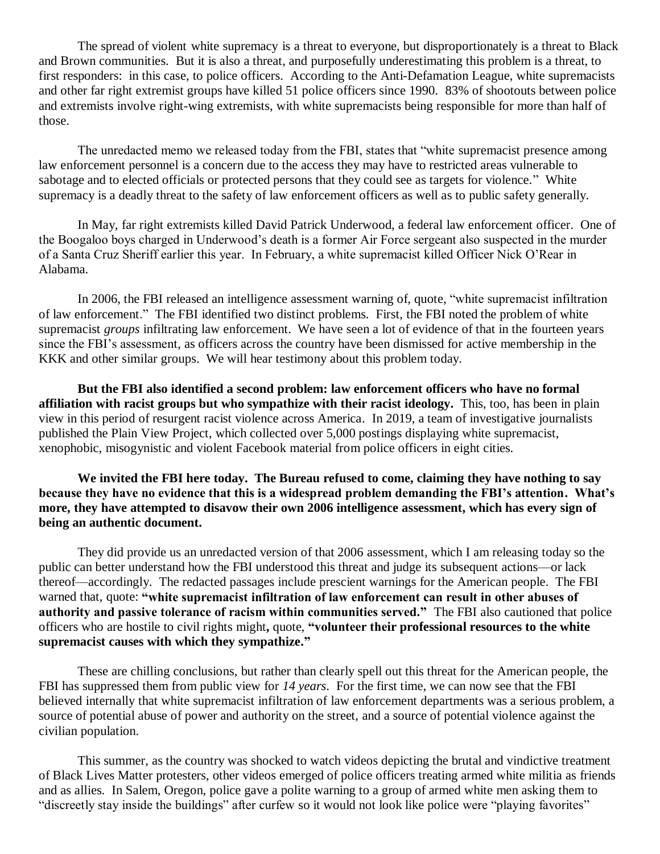The spread of violent white supremacy is a threat to everyone, but disproportionately is a threat to Black and Brown communities. But it is also a threat, and purposefully underestimating this problem is a threat, to first responders: in this case, to police officers. According to the Anti-Defamation League, white supremacists and other far right extremist groups have killed 51 police officers since 1990. 83% of shootouts between police and extremists involve right-wing extremists, with white supremacists being responsible for more than half of those.

The unredacted memo we released today from the FBI, states that "white supremacist presence among law enforcement personnel is a concern due to the access they may have to restricted areas vulnerable to sabotage and to elected officials or protected persons that they could see as targets for violence." White supremacy is a deadly threat to the safety of law enforcement officers as well as to public safety generally.

In May, far right extremists killed David Patrick Underwood, a federal law enforcement officer. One of the Boogaloo boys charged in Underwood's death is a former Air Force sergeant also suspected in the murder of a Santa Cruz Sheriff earlier this year. In February, a white supremacist killed Officer Nick O'Rear in Alabama.

In 2006, the FBI released an intelligence assessment warning of, quote, "white supremacist infiltration of law enforcement." The FBI identified two distinct problems. First, the FBI noted the problem of white supremacist *groups* infiltrating law enforcement. We have seen a lot of evidence of that in the fourteen years since the FBI's assessment, as officers across the country have been dismissed for active membership in the KKK and other similar groups. We will hear testimony about this problem today.

**But the FBI also identified a second problem: law enforcement officers who have no formal affiliation with racist groups but who sympathize with their racist ideology.** This, too, has been in plain view in this period of resurgent racist violence across America. In 2019, a team of investigative journalists published the Plain View Project, which collected over 5,000 postings displaying white supremacist, xenophobic, misogynistic and violent Facebook material from police officers in eight cities.

**We invited the FBI here today. The Bureau refused to come, claiming they have nothing to say because they have no evidence that this is a widespread problem demanding the FBI's attention. What's more, they have attempted to disavow their own 2006 intelligence assessment, which has every sign of being an authentic document.**

They did provide us an unredacted version of that 2006 assessment, which I am releasing today so the public can better understand how the FBI understood this threat and judge its subsequent actions—or lack thereof—accordingly. The redacted passages include prescient warnings for the American people. The FBI warned that, quote: **"white supremacist infiltration of law enforcement can result in other abuses of authority and passive tolerance of racism within communities served."** The FBI also cautioned that police officers who are hostile to civil rights might**,** quote, **"volunteer their professional resources to the white supremacist causes with which they sympathize."**

These are chilling conclusions, but rather than clearly spell out this threat for the American people, the FBI has suppressed them from public view for *14 years*. For the first time, we can now see that the FBI believed internally that white supremacist infiltration of law enforcement departments was a serious problem, a source of potential abuse of power and authority on the street, and a source of potential violence against the civilian population.

This summer, as the country was shocked to watch videos depicting the brutal and vindictive treatment of Black Lives Matter protesters, other videos emerged of police officers treating armed white militia as friends and as allies. In Salem, Oregon, police gave a polite warning to a group of armed white men asking them to "discreetly stay inside the buildings" after curfew so it would not look like police were "playing favorites"